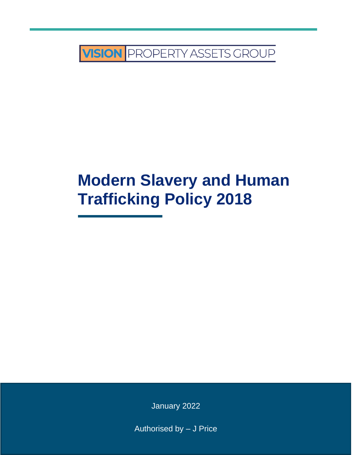

# **Modern Slavery and Human Trafficking Policy 2018**

January 2022

Authorised by – J Price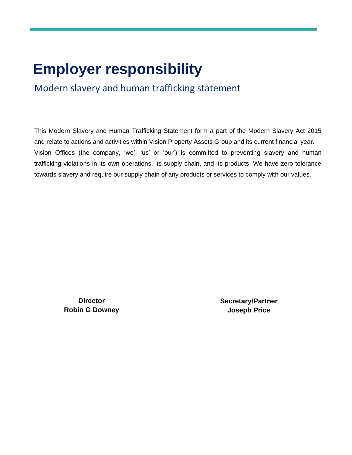## **Employer responsibility**

Modern slavery and human trafficking statement

This Modern Slavery and Human Trafficking Statement form a part of the Modern Slavery Act 2015 and relate to actions and activities within Vision Property Assets Group and its current financial year. Vision Offices (the company, 'we', 'us' or 'our') is committed to preventing slavery and human trafficking violations in its own operations, its supply chain, and its products. We have zero tolerance towards slavery and require our supply chain of any products or services to comply with our values.

> **Director Robin G Downey**

**Secretary/Partner Joseph Price**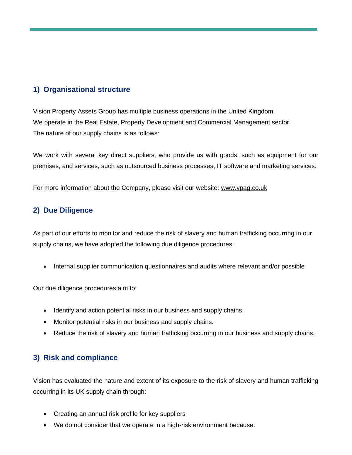#### **1) Organisational structure**

Vision Property Assets Group has multiple business operations in the United Kingdom. We operate in the Real Estate, Property Development and Commercial Management sector. The nature of our supply chains is as follows:

We work with several key direct suppliers, who provide us with goods, such as equipment for our premises, and services, such as outsourced business processes, IT software and marketing services.

For more information about the Company, please visit our website: [www.vpag.co.uk](http://www.vpag.co.uk/)

#### **2) Due Diligence**

As part of our efforts to monitor and reduce the risk of slavery and human trafficking occurring in our supply chains, we have adopted the following due diligence procedures:

• Internal supplier communication questionnaires and audits where relevant and/or possible

Our due diligence procedures aim to:

- Identify and action potential risks in our business and supply chains.
- Monitor potential risks in our business and supply chains.
- Reduce the risk of slavery and human trafficking occurring in our business and supply chains.

### **3) Risk and compliance**

Vision has evaluated the nature and extent of its exposure to the risk of slavery and human trafficking occurring in its UK supply chain through:

- Creating an annual risk profile for key suppliers
- We do not consider that we operate in a high-risk environment because: